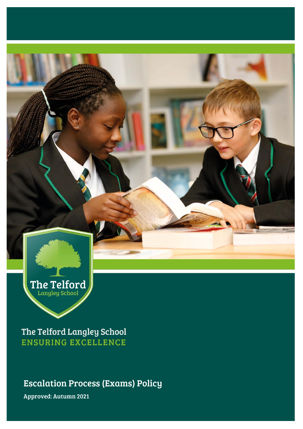

The Telford Langley School **ENSURING EXCELLENCE** 

Escalation Process (Exams) Policy

Approved: Autumn 2021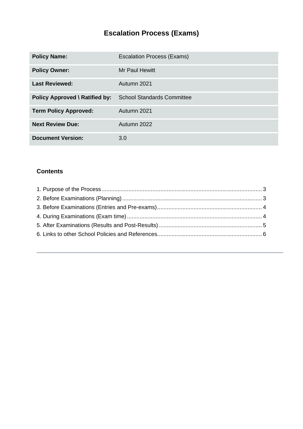# **Escalation Process (Exams)**

| <b>Policy Name:</b>                   | <b>Escalation Process (Exams)</b> |
|---------------------------------------|-----------------------------------|
| <b>Policy Owner:</b>                  | Mr Paul Hewitt                    |
| <b>Last Reviewed:</b>                 | Autumn 2021                       |
| <b>Policy Approved \ Ratified by:</b> | <b>School Standards Committee</b> |
| <b>Term Policy Approved:</b>          | Autumn 2021                       |
| <b>Next Review Due:</b>               | Autumn 2022                       |
| <b>Document Version:</b>              | 3.0                               |

## **Contents**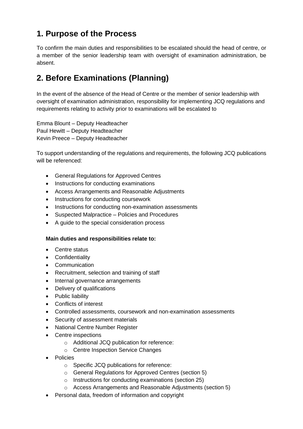# <span id="page-2-0"></span>**1. Purpose of the Process**

To confirm the main duties and responsibilities to be escalated should the head of centre, or a member of the senior leadership team with oversight of examination administration, be absent.

# <span id="page-2-1"></span>**2. Before Examinations (Planning)**

In the event of the absence of the Head of Centre or the member of senior leadership with oversight of examination administration, responsibility for implementing JCQ regulations and requirements relating to activity prior to examinations will be escalated to

Emma Blount – Deputy Headteacher Paul Hewitt – Deputy Headteacher Kevin Preece – Deputy Headteacher

To support understanding of the regulations and requirements, the following JCQ publications will be referenced:

- General Regulations for Approved Centres
- Instructions for conducting examinations
- Access Arrangements and Reasonable Adjustments
- Instructions for conducting coursework
- Instructions for conducting non-examination assessments
- Suspected Malpractice Policies and Procedures
- A guide to the special consideration process

### **Main duties and responsibilities relate to:**

- Centre status
- Confidentiality
- Communication
- Recruitment, selection and training of staff
- Internal governance arrangements
- Delivery of qualifications
- Public liability
- Conflicts of interest
- Controlled assessments, coursework and non-examination assessments
- Security of assessment materials
- National Centre Number Register
- Centre inspections
	- o Additional JCQ publication for reference:
	- o Centre Inspection Service Changes
- Policies
	- o Specific JCQ publications for reference:
	- o General Regulations for Approved Centres (section 5)
	- o Instructions for conducting examinations (section 25)
	- o Access Arrangements and Reasonable Adjustments (section 5)
- Personal data, freedom of information and copyright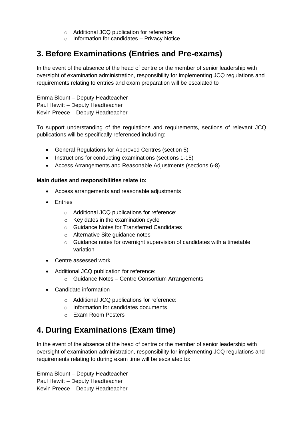- o Additional JCQ publication for reference:
- $\circ$  Information for candidates Privacy Notice

## <span id="page-3-0"></span>**3. Before Examinations (Entries and Pre-exams)**

In the event of the absence of the head of centre or the member of senior leadership with oversight of examination administration, responsibility for implementing JCQ regulations and requirements relating to entries and exam preparation will be escalated to

Emma Blount – Deputy Headteacher Paul Hewitt – Deputy Headteacher Kevin Preece – Deputy Headteacher

To support understanding of the regulations and requirements, sections of relevant JCQ publications will be specifically referenced including:

- General Regulations for Approved Centres (section 5)
- Instructions for conducting examinations (sections 1-15)
- Access Arrangements and Reasonable Adjustments (sections 6-8)

#### **Main duties and responsibilities relate to:**

- Access arrangements and reasonable adjustments
- Entries
	- o Additional JCQ publications for reference:
	- o Key dates in the examination cycle
	- o Guidance Notes for Transferred Candidates
	- o Alternative Site guidance notes
	- o Guidance notes for overnight supervision of candidates with a timetable variation
- Centre assessed work
- Additional JCQ publication for reference:
	- o Guidance Notes Centre Consortium Arrangements
- Candidate information
	- o Additional JCQ publications for reference:
	- o Information for candidates documents
	- o Exam Room Posters

## <span id="page-3-1"></span>**4. During Examinations (Exam time)**

In the event of the absence of the head of centre or the member of senior leadership with oversight of examination administration, responsibility for implementing JCQ regulations and requirements relating to during exam time will be escalated to:

Emma Blount – Deputy Headteacher Paul Hewitt – Deputy Headteacher Kevin Preece – Deputy Headteacher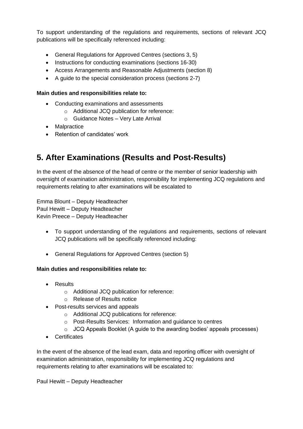To support understanding of the regulations and requirements, sections of relevant JCQ publications will be specifically referenced including:

- General Regulations for Approved Centres (sections 3, 5)
- Instructions for conducting examinations (sections 16-30)
- Access Arrangements and Reasonable Adjustments (section 8)
- A guide to the special consideration process (sections 2-7)

### **Main duties and responsibilities relate to:**

- Conducting examinations and assessments
	- o Additional JCQ publication for reference:
	- o Guidance Notes Very Late Arrival
- Malpractice
- Retention of candidates' work

# <span id="page-4-0"></span>**5. After Examinations (Results and Post-Results)**

In the event of the absence of the head of centre or the member of senior leadership with oversight of examination administration, responsibility for implementing JCQ regulations and requirements relating to after examinations will be escalated to

Emma Blount – Deputy Headteacher Paul Hewitt – Deputy Headteacher Kevin Preece – Deputy Headteacher

- To support understanding of the regulations and requirements, sections of relevant JCQ publications will be specifically referenced including:
- General Regulations for Approved Centres (section 5)

### **Main duties and responsibilities relate to:**

- Results
	- o Additional JCQ publication for reference:
	- o Release of Results notice
- Post-results services and appeals
	- o Additional JCQ publications for reference:
	- o Post-Results Services: Information and guidance to centres
	- o JCQ Appeals Booklet (A guide to the awarding bodies' appeals processes)
- Certificates

In the event of the absence of the lead exam, data and reporting officer with oversight of examination administration, responsibility for implementing JCQ regulations and requirements relating to after examinations will be escalated to:

Paul Hewitt – Deputy Headteacher